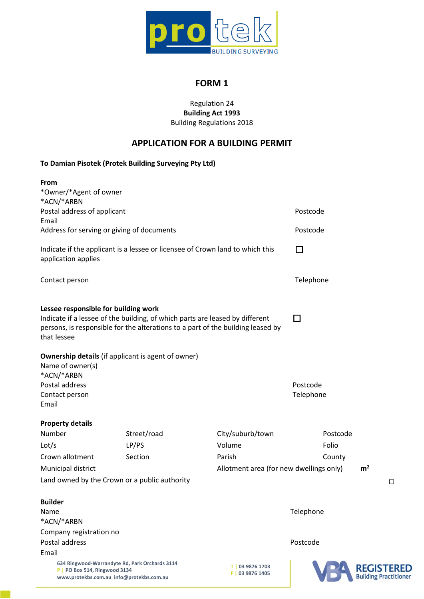

# **FORM 1**

### Regulation 24 **Building Act 1993** Building Regulations 2018

# **APPLICATION FOR A BUILDING PERMIT**

## **To Damian Pisotek (Protek Building Surveying Pty Ltd)**

| <b>From</b>                                                                                                                 |                                                                              |                                                                                 |                       |                                            |  |
|-----------------------------------------------------------------------------------------------------------------------------|------------------------------------------------------------------------------|---------------------------------------------------------------------------------|-----------------------|--------------------------------------------|--|
| *Owner/*Agent of owner                                                                                                      |                                                                              |                                                                                 |                       |                                            |  |
| *ACN/*ARBN                                                                                                                  |                                                                              |                                                                                 |                       |                                            |  |
| Postal address of applicant                                                                                                 |                                                                              |                                                                                 | Postcode              |                                            |  |
| Email                                                                                                                       |                                                                              |                                                                                 |                       |                                            |  |
| Address for serving or giving of documents                                                                                  |                                                                              |                                                                                 | Postcode              |                                            |  |
| Indicate if the applicant is a lessee or licensee of Crown land to which this<br>application applies                        |                                                                              |                                                                                 | □                     |                                            |  |
| Contact person                                                                                                              |                                                                              |                                                                                 | Telephone             |                                            |  |
| Lessee responsible for building work<br>that lessee                                                                         | Indicate if a lessee of the building, of which parts are leased by different | persons, is responsible for the alterations to a part of the building leased by | □                     |                                            |  |
| Name of owner(s)<br>*ACN/*ARBN<br>Postal address<br>Contact person<br>Email                                                 | <b>Ownership details</b> (if applicant is agent of owner)                    |                                                                                 | Postcode<br>Telephone |                                            |  |
| <b>Property details</b>                                                                                                     |                                                                              |                                                                                 |                       |                                            |  |
| Number                                                                                                                      | Street/road                                                                  | City/suburb/town                                                                | Postcode              |                                            |  |
| Lot/s                                                                                                                       | LP/PS                                                                        | Volume                                                                          | Folio                 |                                            |  |
| Crown allotment                                                                                                             | Section                                                                      | Parish                                                                          | County                |                                            |  |
| Municipal district                                                                                                          |                                                                              | Allotment area (for new dwellings only)                                         |                       | m <sup>2</sup>                             |  |
|                                                                                                                             | Land owned by the Crown or a public authority                                |                                                                                 |                       | $\Box$                                     |  |
| <b>Builder</b>                                                                                                              |                                                                              |                                                                                 |                       |                                            |  |
| Name                                                                                                                        |                                                                              |                                                                                 | Telephone             |                                            |  |
| *ACN/*ARBN                                                                                                                  |                                                                              |                                                                                 |                       |                                            |  |
| Company registration no                                                                                                     |                                                                              |                                                                                 |                       |                                            |  |
| Postal address                                                                                                              |                                                                              |                                                                                 | Postcode              |                                            |  |
| Email                                                                                                                       |                                                                              |                                                                                 |                       |                                            |  |
| 634 Ringwood-Warrandyte Rd, Park Orchards 3114<br>P   PO Box 514, Ringwood 3134<br>www.protekbs.com.au info@protekbs.com.au |                                                                              | T   03 9876 1703<br>F   03 9876 1405                                            |                       | <b>REGISTERED</b><br>Building Practitioner |  |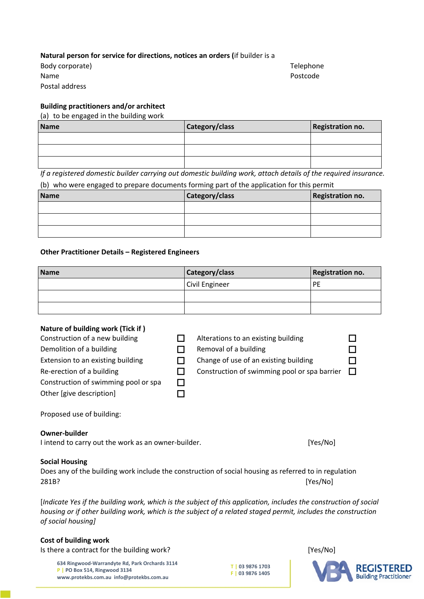#### **Natural person for service for directions, notices an orders (**if builder is a

Body corporate) Name Postal address

Telephone Postcode

## **Building practitioners and/or architect**

#### (a) to be engaged in the building work

| Name | Category/class | Registration no. |
|------|----------------|------------------|
|      |                |                  |
|      |                |                  |
|      |                |                  |

*If a registered domestic builder carrying out domestic building work, attach details of the required insurance.*

#### (b) who were engaged to prepare documents forming part of the application for this permit

| Name | Category/class | Registration no. |
|------|----------------|------------------|
|      |                |                  |
|      |                |                  |
|      |                |                  |

#### **Other Practitioner Details – Registered Engineers**

| Name | Category/class | <b>Registration no.</b> |
|------|----------------|-------------------------|
|      | Civil Engineer | PE                      |
|      |                |                         |
|      |                |                         |

### **Nature of building work (Tick if )**

| Construction of a new building       | Alterations to an existing building          |              |
|--------------------------------------|----------------------------------------------|--------------|
| Demolition of a building             | Removal of a building                        |              |
| Extension to an existing building    | Change of use of an existing building        |              |
| Re-erection of a building            | Construction of swimming pool or spa barrier | $\mathbf{I}$ |
| Construction of swimming pool or spa |                                              |              |
| Other [give description]             |                                              |              |
|                                      |                                              |              |

Proposed use of building:

#### **Owner-builder**

| I intend to carry out the work as an owner-builder. | [Yes/No] |
|-----------------------------------------------------|----------|
|-----------------------------------------------------|----------|

#### **Social Housing**

Does any of the building work include the construction of social housing as referred to in regulation 281B? [Yes/No]

[Indicate Yes if the building work, which is the subject of this application, includes the construction of social housing or if other building work, which is the subject of a related staged permit, includes the construction *of social housing]*

#### **Cost of building work**

Is there a contract for the building work? [Yes/No]

**634 Ringwood-Warrandyte Rd, Park Orchards 3114 P | PO Box 514, Ringwood 3134 www.protekbs.com.au info@protekbs.com.au**



**T | 03 9876 1703 F | 03 9876 1405**